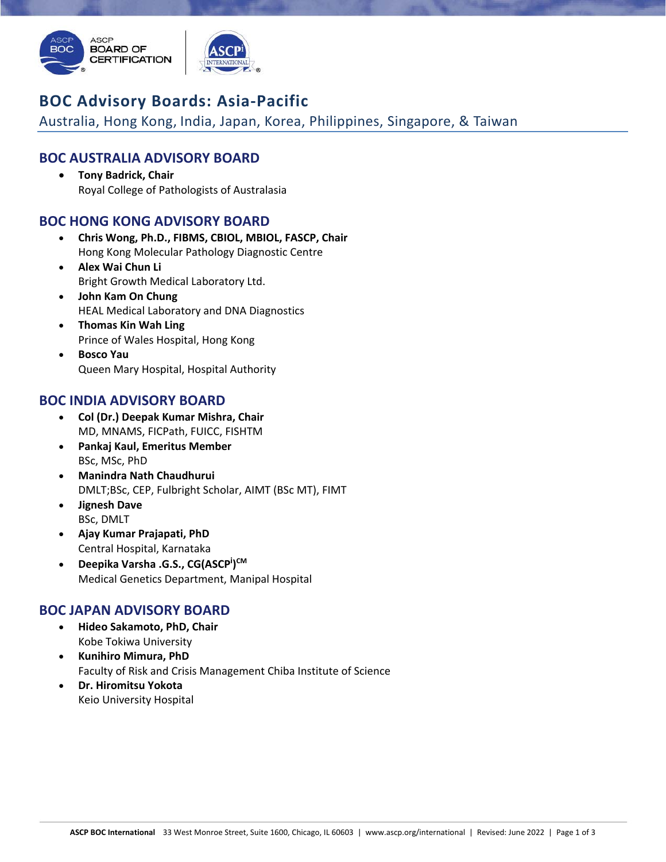

# **BOC Advisory Boards: Asia‐Pacific**

Australia, Hong Kong, India, Japan, Korea, Philippines, Singapore, & Taiwan

## **BOC AUSTRALIA ADVISORY BOARD**

 **Tony Badrick, Chair** Royal College of Pathologists of Australasia

## **BOC HONG KONG ADVISORY BOARD**

- **Chris Wong, Ph.D., FIBMS, CBIOL, MBIOL, FASCP, Chair** Hong Kong Molecular Pathology Diagnostic Centre
- **Alex Wai Chun Li** Bright Growth Medical Laboratory Ltd.
- **John Kam On Chung** HEAL Medical Laboratory and DNA Diagnostics
- **Thomas Kin Wah Ling** Prince of Wales Hospital, Hong Kong
- **Bosco Yau** Queen Mary Hospital, Hospital Authority

## **BOC INDIA ADVISORY BOARD**

- **Col (Dr.) Deepak Kumar Mishra, Chair** MD, MNAMS, FICPath, FUICC, FISHTM
- **Pankaj Kaul, Emeritus Member** BSc, MSc, PhD
- **Manindra Nath Chaudhurui** DMLT;BSc, CEP, Fulbright Scholar, AIMT (BSc MT), FIMT
- **Jignesh Dave** BSc, DMLT
- **Ajay Kumar Prajapati, PhD**  Central Hospital, Karnataka
- **•** Deepika Varsha .G.S., CG(ASCP<sup>i</sup>)<sup>CM</sup> Medical Genetics Department, Manipal Hospital

#### **BOC JAPAN ADVISORY BOARD**

- **Hideo Sakamoto, PhD, Chair** Kobe Tokiwa University
- **Kunihiro Mimura, PhD** Faculty of Risk and Crisis Management Chiba Institute of Science
- **Dr. Hiromitsu Yokota** Keio University Hospital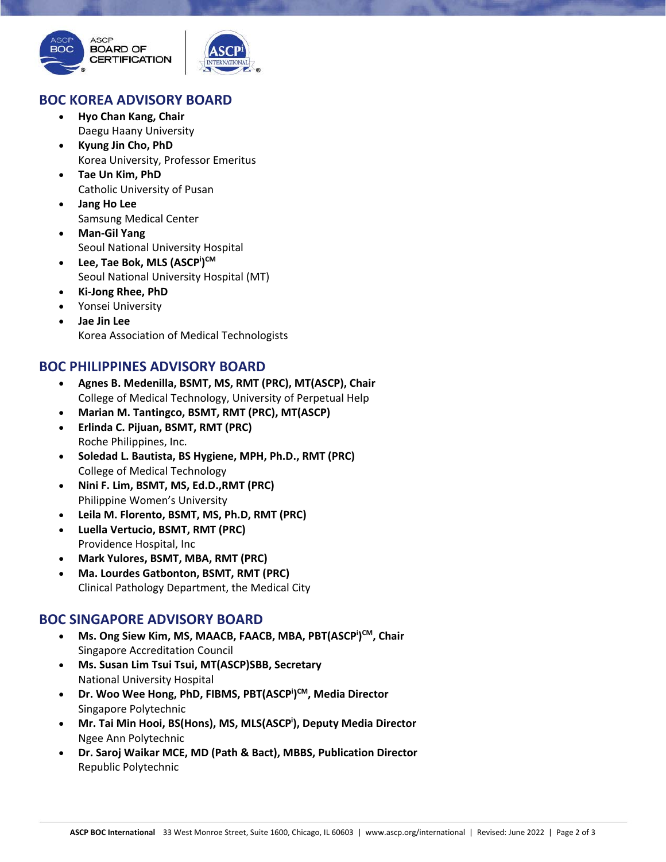

#### **BOC KOREA ADVISORY BOARD**

- **Hyo Chan Kang, Chair** Daegu Haany University
- **Kyung Jin Cho, PhD** Korea University, Professor Emeritus
- **Tae Un Kim, PhD** Catholic University of Pusan
- **Jang Ho Lee** Samsung Medical Center
- **Man‐Gil Yang** Seoul National University Hospital
- **Lee, Tae Bok, MLS (ASCPi ) CM** Seoul National University Hospital (MT)
- **Ki‐Jong Rhee, PhD**
- Yonsei University
- **Jae Jin Lee**  Korea Association of Medical Technologists

## **BOC PHILIPPINES ADVISORY BOARD**

- **Agnes B. Medenilla, BSMT, MS, RMT (PRC), MT(ASCP), Chair** College of Medical Technology, University of Perpetual Help
- **Marian M. Tantingco, BSMT, RMT (PRC), MT(ASCP)**
- **Erlinda C. Pijuan, BSMT, RMT (PRC)** Roche Philippines, Inc.
- **Soledad L. Bautista, BS Hygiene, MPH, Ph.D., RMT (PRC)** College of Medical Technology
- **Nini F. Lim, BSMT, MS, Ed.D.,RMT (PRC)** Philippine Women's University
- **Leila M. Florento, BSMT, MS, Ph.D, RMT (PRC)**
- **Luella Vertucio, BSMT, RMT (PRC)** Providence Hospital, Inc
- **Mark Yulores, BSMT, MBA, RMT (PRC)**
- **Ma. Lourdes Gatbonton, BSMT, RMT (PRC)** Clinical Pathology Department, the Medical City

#### **BOC SINGAPORE ADVISORY BOARD**

- **•** Ms. Ong Siew Kim, MS, MAACB, FAACB, MBA, PBT(ASCP<sup>i</sup>)<sup>CM</sup>, Chair Singapore Accreditation Council
- **Ms. Susan Lim Tsui Tsui, MT(ASCP)SBB, Secretary** National University Hospital
- **Dr. Woo Wee Hong, PhD, FIBMS, PBT(ASCPi ) CM, Media Director** Singapore Polytechnic
- **Mr. Tai Min Hooi, BS(Hons), MS, MLS(ASCPi ), Deputy Media Director** Ngee Ann Polytechnic
- **Dr. Saroj Waikar MCE, MD (Path & Bact), MBBS, Publication Director** Republic Polytechnic